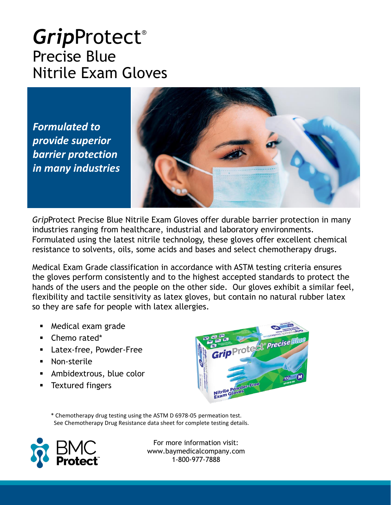#### *Grip*Protect® Precise Blue Nitrile Exam Gloves

*Formulated to provide superior barrier protection in many industries*



*Grip*Protect Precise Blue Nitrile Exam Gloves offer durable barrier protection in many industries ranging from healthcare, industrial and laboratory environments. Formulated using the latest nitrile technology, these gloves offer excellent chemical resistance to solvents, oils, some acids and bases and select chemotherapy drugs.

Medical Exam Grade classification in accordance with ASTM testing criteria ensures the gloves perform consistently and to the highest accepted standards to protect the hands of the users and the people on the other side. Our gloves exhibit a similar feel, flexibility and tactile sensitivity as latex gloves, but contain no natural rubber latex so they are safe for people with latex allergies.

- Medical exam grade
- Chemo rated\*
- Latex-free, Powder-Free
- Non-sterile
- Ambidextrous, blue color
- Textured fingers



\* Chemotherapy drug testing using the ASTM D 6978-05 permeation test. See Chemotherapy Drug Resistance data sheet for complete testing details.

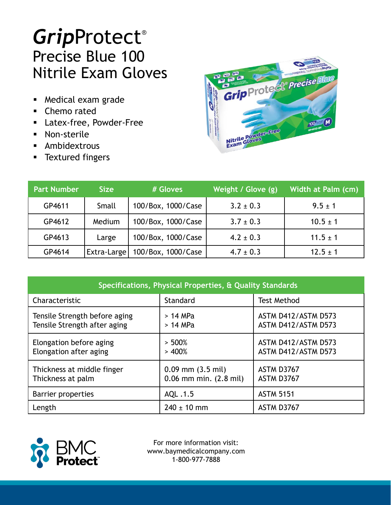# *Grip*Protect® Precise Blue 100 Nitrile Exam Gloves

- Medical exam grade
- Chemo rated
- Latex-free, Powder-Free
- Non-sterile
- **E** Ambidextrous
- **EXTEL TEXT** Textured fingers



| <b>Part Number</b> | <b>Size</b> | # Gloves           | Weight / Glove (g) | Width at Palm (cm) |
|--------------------|-------------|--------------------|--------------------|--------------------|
| GP4611             | Small       | 100/Box, 1000/Case | $3.2 \pm 0.3$      | $9.5 \pm 1$        |
| GP4612             | Medium      | 100/Box, 1000/Case | $3.7 \pm 0.3$      | $10.5 \pm 1$       |
| GP4613             | Large       | 100/Box, 1000/Case | $4.2 \pm 0.3$      | $11.5 \pm 1$       |
| GP4614             | Extra-Large | 100/Box, 1000/Case | $4.7 \pm 0.3$      | $12.5 \pm 1$       |

| Specifications, Physical Properties, & Quality Standards      |                                                     |                                            |  |  |  |
|---------------------------------------------------------------|-----------------------------------------------------|--------------------------------------------|--|--|--|
| Characteristic                                                | Standard                                            | <b>Test Method</b>                         |  |  |  |
| Tensile Strength before aging<br>Tensile Strength after aging | $>14$ MPa<br>$>14$ MPa                              | ASTM D412/ASTM D573<br>ASTM D412/ASTM D573 |  |  |  |
| Elongation before aging<br>Elongation after aging             | $> 500\%$<br>> 400%                                 | ASTM D412/ASTM D573<br>ASTM D412/ASTM D573 |  |  |  |
| Thickness at middle finger<br>Thickness at palm               | $0.09$ mm $(3.5$ mil)<br>$0.06$ mm min. $(2.8$ mil) | ASTM D3767<br>ASTM D3767                   |  |  |  |
| Barrier properties                                            | AQL .1.5                                            | <b>ASTM 5151</b>                           |  |  |  |
| Length                                                        | $240 \pm 10$ mm                                     | ASTM D3767                                 |  |  |  |

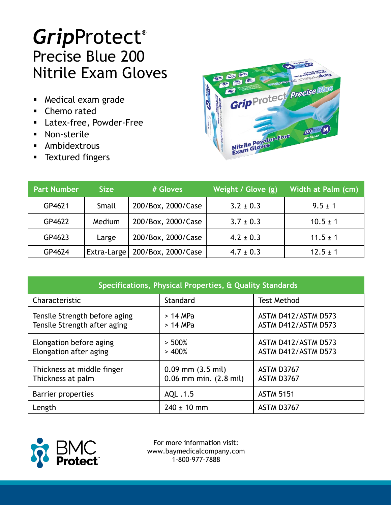# *Grip*Protect® Precise Blue 200 Nitrile Exam Gloves

- Medical exam grade
- Chemo rated
- Latex-free, Powder-Free
- Non-sterile
- **E** Ambidextrous
- **EXTEL TEXT** Textured fingers



| <b>Part Number</b> | <b>Size</b>        | # Gloves           | Weight / Glove (g) | Width at Palm (cm) |
|--------------------|--------------------|--------------------|--------------------|--------------------|
| GP4621             | Small              | 200/Box, 2000/Case | $3.2 \pm 0.3$      | $9.5 \pm 1$        |
| GP4622             | Medium             | 200/Box, 2000/Case | $3.7 \pm 0.3$      | $10.5 \pm 1$       |
| GP4623             | Large              | 200/Box, 2000/Case | $4.2 \pm 0.3$      | $11.5 \pm 1$       |
| GP4624             | <b>Extra-Large</b> | 200/Box, 2000/Case | $4.7 \pm 0.3$      | $12.5 \pm 1$       |

| Specifications, Physical Properties, & Quality Standards      |                                                     |                                            |  |  |
|---------------------------------------------------------------|-----------------------------------------------------|--------------------------------------------|--|--|
| Characteristic                                                | Standard                                            | <b>Test Method</b>                         |  |  |
| Tensile Strength before aging<br>Tensile Strength after aging | $>14$ MPa<br>$>14$ MPa                              | ASTM D412/ASTM D573<br>ASTM D412/ASTM D573 |  |  |
| Elongation before aging<br>Elongation after aging             | $> 500\%$<br>> 400%                                 | ASTM D412/ASTM D573<br>ASTM D412/ASTM D573 |  |  |
| Thickness at middle finger<br>Thickness at palm               | $0.09$ mm $(3.5$ mil)<br>$0.06$ mm min. $(2.8$ mil) | ASTM D3767<br>ASTM D3767                   |  |  |
| Barrier properties                                            | AQL .1.5                                            | <b>ASTM 5151</b>                           |  |  |
| Length                                                        | $240 \pm 10$ mm                                     | ASTM D3767                                 |  |  |